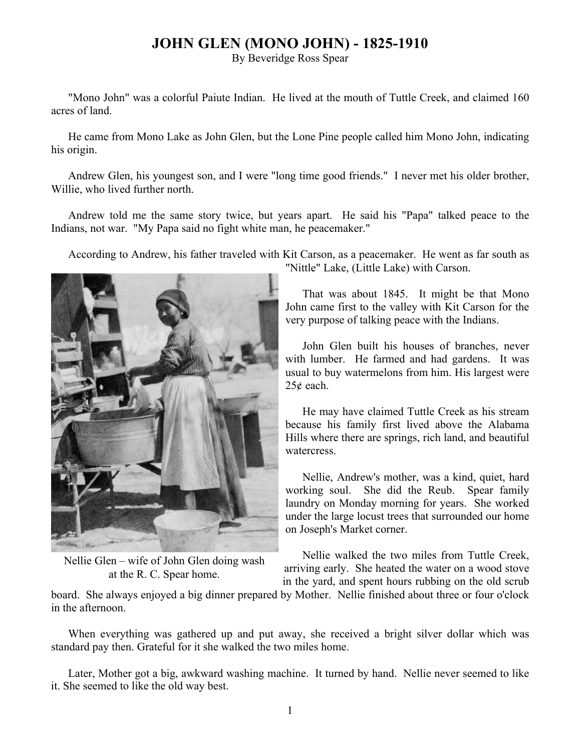## **JOHN GLEN (MONO JOHN) - 1825-1910**

By Beveridge Ross Spear

"Mono John" was a colorful Paiute Indian. He lived at the mouth of Tuttle Creek, and claimed 160 acres of land.

He came from Mono Lake as John Glen, but the Lone Pine people called him Mono John, indicating his origin.

Andrew Glen, his youngest son, and I were "long time good friends." I never met his older brother, Willie, who lived further north.

Andrew told me the same story twice, but years apart. He said his "Papa" talked peace to the Indians, not war. "My Papa said no fight white man, he peacemaker."

According to Andrew, his father traveled with Kit Carson, as a peacemaker. He went as far south as



Nellie Glen – wife of John Glen doing wash at the R. C. Spear home.

"Nittle" Lake, (Little Lake) with Carson.

That was about 1845. It might be that Mono John came first to the valley with Kit Carson for the very purpose of talking peace with the Indians.

John Glen built his houses of branches, never with lumber. He farmed and had gardens. It was usual to buy watermelons from him. His largest were 25¢ each.

He may have claimed Tuttle Creek as his stream because his family first lived above the Alabama Hills where there are springs, rich land, and beautiful watercress.

Nellie, Andrew's mother, was a kind, quiet, hard working soul. She did the Reub. Spear family laundry on Monday morning for years. She worked under the large locust trees that surrounded our home on Joseph's Market corner.

Nellie walked the two miles from Tuttle Creek, arriving early. She heated the water on a wood stove in the yard, and spent hours rubbing on the old scrub

board. She always enjoyed a big dinner prepared by Mother. Nellie finished about three or four o'clock in the afternoon.

When everything was gathered up and put away, she received a bright silver dollar which was standard pay then. Grateful for it she walked the two miles home.

Later, Mother got a big, awkward washing machine. It turned by hand. Nellie never seemed to like it. She seemed to like the old way best.